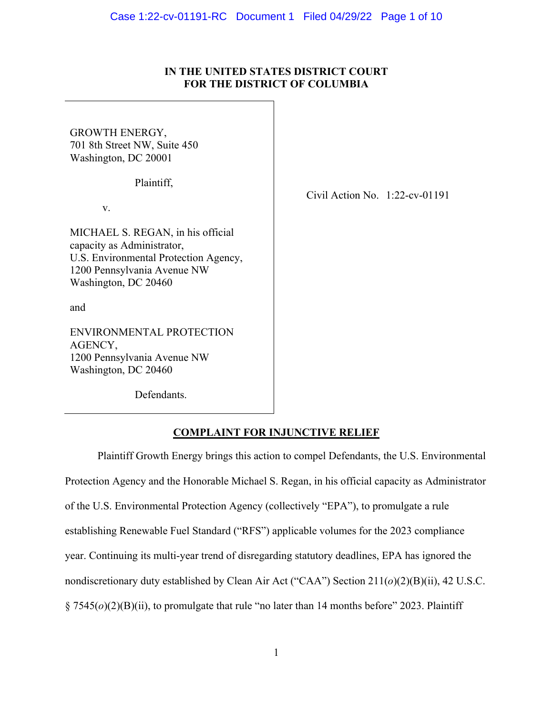## **IN THE UNITED STATES DISTRICT COURT FOR THE DISTRICT OF COLUMBIA**

GROWTH ENERGY, 701 8th Street NW, Suite 450 Washington, DC 20001

Plaintiff,

v.

MICHAEL S. REGAN, in his official capacity as Administrator, U.S. Environmental Protection Agency, 1200 Pennsylvania Avenue NW Washington, DC 20460

and

ENVIRONMENTAL PROTECTION AGENCY, 1200 Pennsylvania Avenue NW Washington, DC 20460

Defendants.

Civil Action No. 1:22-cv-01191

## **COMPLAINT FOR INJUNCTIVE RELIEF**

Plaintiff Growth Energy brings this action to compel Defendants, the U.S. Environmental Protection Agency and the Honorable Michael S. Regan, in his official capacity as Administrator of the U.S. Environmental Protection Agency (collectively "EPA"), to promulgate a rule establishing Renewable Fuel Standard ("RFS") applicable volumes for the 2023 compliance year. Continuing its multi-year trend of disregarding statutory deadlines, EPA has ignored the nondiscretionary duty established by Clean Air Act ("CAA") Section 211(*o*)(2)(B)(ii), 42 U.S.C. § 7545(*o*)(2)(B)(ii), to promulgate that rule "no later than 14 months before" 2023. Plaintiff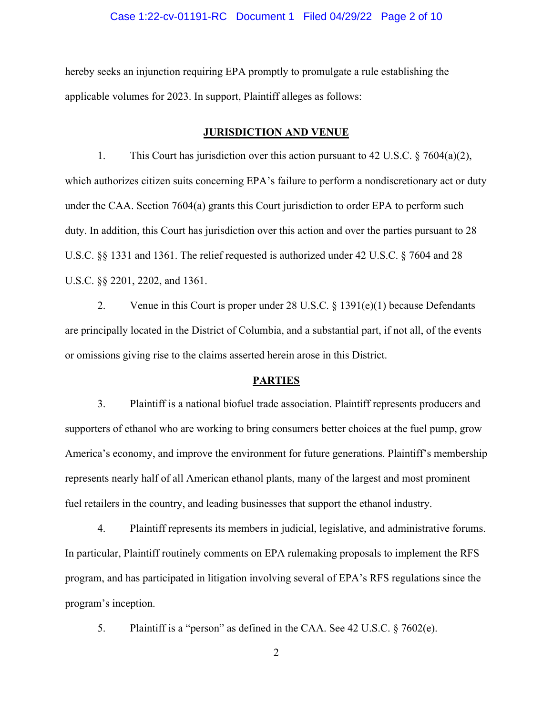## Case 1:22-cv-01191-RC Document 1 Filed 04/29/22 Page 2 of 10

hereby seeks an injunction requiring EPA promptly to promulgate a rule establishing the applicable volumes for 2023. In support, Plaintiff alleges as follows:

#### **JURISDICTION AND VENUE**

1. This Court has jurisdiction over this action pursuant to 42 U.S.C. § 7604(a)(2), which authorizes citizen suits concerning EPA's failure to perform a nondiscretionary act or duty under the CAA. Section 7604(a) grants this Court jurisdiction to order EPA to perform such duty. In addition, this Court has jurisdiction over this action and over the parties pursuant to 28 U.S.C. §§ 1331 and 1361. The relief requested is authorized under 42 U.S.C. § 7604 and 28 U.S.C. §§ 2201, 2202, and 1361.

2. Venue in this Court is proper under 28 U.S.C. § 1391(e)(1) because Defendants are principally located in the District of Columbia, and a substantial part, if not all, of the events or omissions giving rise to the claims asserted herein arose in this District.

## **PARTIES**

3. Plaintiff is a national biofuel trade association. Plaintiff represents producers and supporters of ethanol who are working to bring consumers better choices at the fuel pump, grow America's economy, and improve the environment for future generations. Plaintiff's membership represents nearly half of all American ethanol plants, many of the largest and most prominent fuel retailers in the country, and leading businesses that support the ethanol industry.

4. Plaintiff represents its members in judicial, legislative, and administrative forums. In particular, Plaintiff routinely comments on EPA rulemaking proposals to implement the RFS program, and has participated in litigation involving several of EPA's RFS regulations since the program's inception.

5. Plaintiff is a "person" as defined in the CAA. See 42 U.S.C. § 7602(e).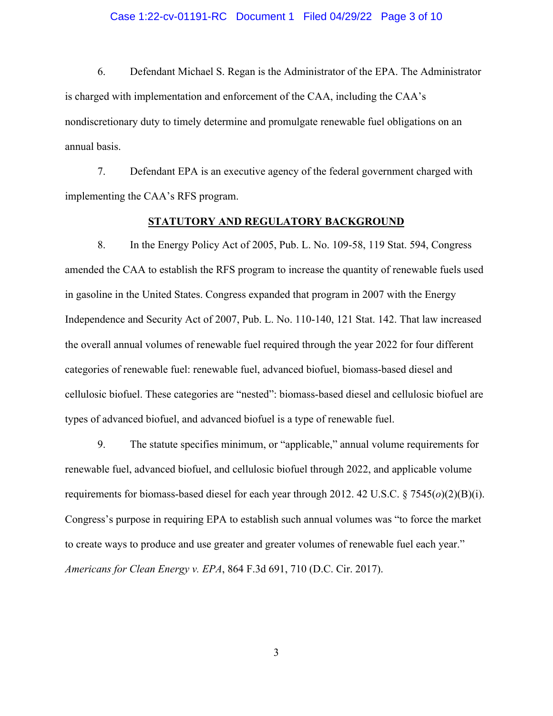## Case 1:22-cv-01191-RC Document 1 Filed 04/29/22 Page 3 of 10

6. Defendant Michael S. Regan is the Administrator of the EPA. The Administrator is charged with implementation and enforcement of the CAA, including the CAA's nondiscretionary duty to timely determine and promulgate renewable fuel obligations on an annual basis.

7. Defendant EPA is an executive agency of the federal government charged with implementing the CAA's RFS program.

## **STATUTORY AND REGULATORY BACKGROUND**

8. In the Energy Policy Act of 2005, Pub. L. No. 109-58, 119 Stat. 594, Congress amended the CAA to establish the RFS program to increase the quantity of renewable fuels used in gasoline in the United States. Congress expanded that program in 2007 with the Energy Independence and Security Act of 2007, Pub. L. No. 110-140, 121 Stat. 142. That law increased the overall annual volumes of renewable fuel required through the year 2022 for four different categories of renewable fuel: renewable fuel, advanced biofuel, biomass-based diesel and cellulosic biofuel. These categories are "nested": biomass-based diesel and cellulosic biofuel are types of advanced biofuel, and advanced biofuel is a type of renewable fuel.

9. The statute specifies minimum, or "applicable," annual volume requirements for renewable fuel, advanced biofuel, and cellulosic biofuel through 2022, and applicable volume requirements for biomass-based diesel for each year through 2012. 42 U.S.C. § 7545(*o*)(2)(B)(i). Congress's purpose in requiring EPA to establish such annual volumes was "to force the market to create ways to produce and use greater and greater volumes of renewable fuel each year." *Americans for Clean Energy v. EPA*, 864 F.3d 691, 710 (D.C. Cir. 2017).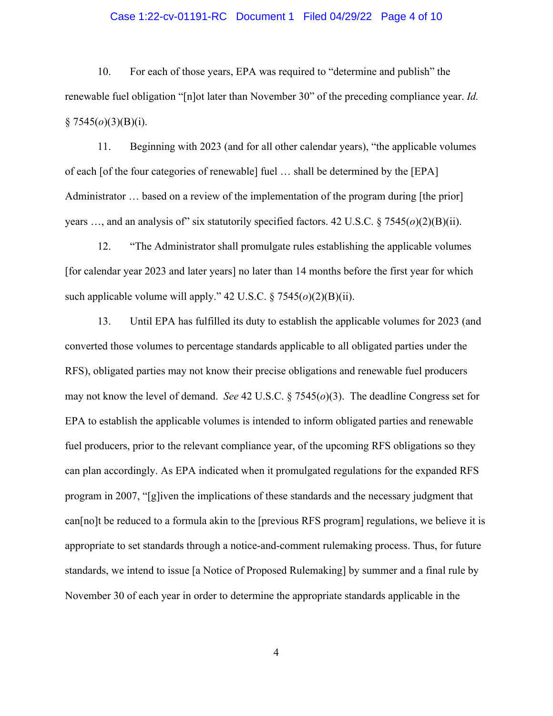## Case 1:22-cv-01191-RC Document 1 Filed 04/29/22 Page 4 of 10

10. For each of those years, EPA was required to "determine and publish" the renewable fuel obligation "[n]ot later than November 30" of the preceding compliance year. *Id.*  $§ 7545(o)(3)(B)(i).$ 

11. Beginning with 2023 (and for all other calendar years), "the applicable volumes of each [of the four categories of renewable] fuel … shall be determined by the [EPA] Administrator … based on a review of the implementation of the program during [the prior] years …, and an analysis of" six statutorily specified factors. 42 U.S.C. § 7545(*o*)(2)(B)(ii).

12. "The Administrator shall promulgate rules establishing the applicable volumes [for calendar year 2023 and later years] no later than 14 months before the first year for which such applicable volume will apply." 42 U.S.C. § 7545(*o*)(2)(B)(ii).

13. Until EPA has fulfilled its duty to establish the applicable volumes for 2023 (and converted those volumes to percentage standards applicable to all obligated parties under the RFS), obligated parties may not know their precise obligations and renewable fuel producers may not know the level of demand. *See* 42 U.S.C. § 7545(*o*)(3). The deadline Congress set for EPA to establish the applicable volumes is intended to inform obligated parties and renewable fuel producers, prior to the relevant compliance year, of the upcoming RFS obligations so they can plan accordingly. As EPA indicated when it promulgated regulations for the expanded RFS program in 2007, "[g]iven the implications of these standards and the necessary judgment that can[no]t be reduced to a formula akin to the [previous RFS program] regulations, we believe it is appropriate to set standards through a notice-and-comment rulemaking process. Thus, for future standards, we intend to issue [a Notice of Proposed Rulemaking] by summer and a final rule by November 30 of each year in order to determine the appropriate standards applicable in the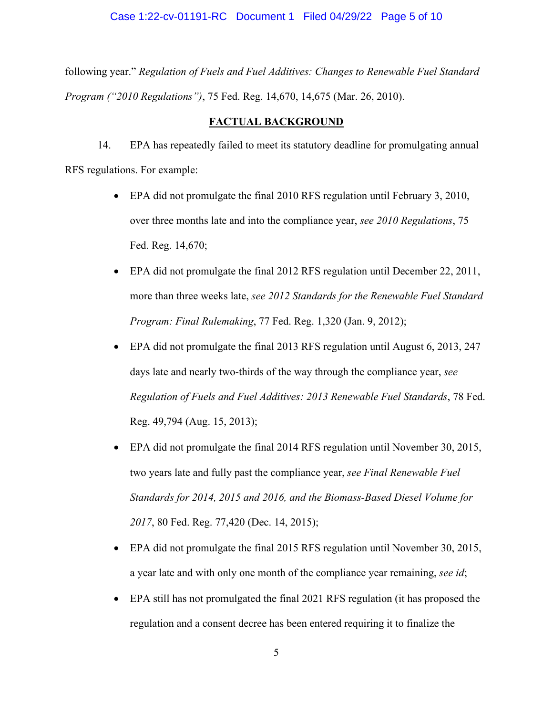## Case 1:22-cv-01191-RC Document 1 Filed 04/29/22 Page 5 of 10

following year." *Regulation of Fuels and Fuel Additives: Changes to Renewable Fuel Standard Program ("2010 Regulations")*, 75 Fed. Reg. 14,670, 14,675 (Mar. 26, 2010).

## **FACTUAL BACKGROUND**

14. EPA has repeatedly failed to meet its statutory deadline for promulgating annual RFS regulations. For example:

- EPA did not promulgate the final 2010 RFS regulation until February 3, 2010, over three months late and into the compliance year, *see 2010 Regulations*, 75 Fed. Reg. 14,670;
- EPA did not promulgate the final 2012 RFS regulation until December 22, 2011, more than three weeks late, *see 2012 Standards for the Renewable Fuel Standard Program: Final Rulemaking*, 77 Fed. Reg. 1,320 (Jan. 9, 2012);
- EPA did not promulgate the final 2013 RFS regulation until August 6, 2013, 247 days late and nearly two-thirds of the way through the compliance year, *see Regulation of Fuels and Fuel Additives: 2013 Renewable Fuel Standards*, 78 Fed. Reg. 49,794 (Aug. 15, 2013);
- EPA did not promulgate the final 2014 RFS regulation until November 30, 2015, two years late and fully past the compliance year, *see Final Renewable Fuel Standards for 2014, 2015 and 2016, and the Biomass-Based Diesel Volume for 2017*, 80 Fed. Reg. 77,420 (Dec. 14, 2015);
- EPA did not promulgate the final 2015 RFS regulation until November 30, 2015, a year late and with only one month of the compliance year remaining, *see id*;
- EPA still has not promulgated the final 2021 RFS regulation (it has proposed the regulation and a consent decree has been entered requiring it to finalize the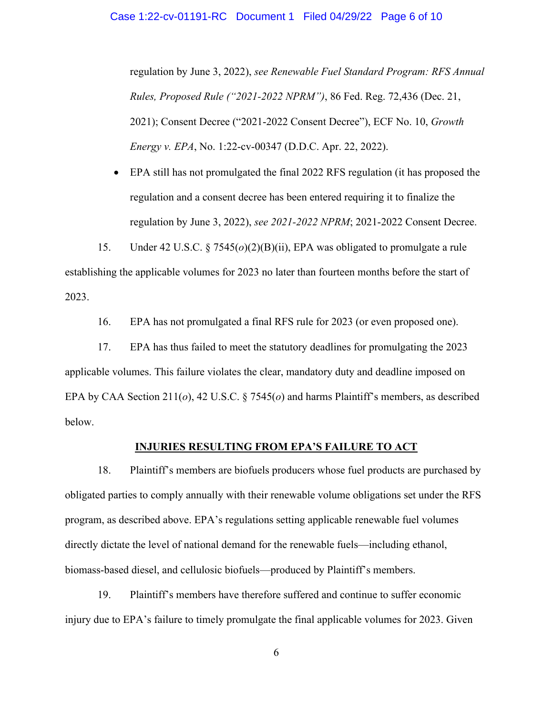regulation by June 3, 2022), *see Renewable Fuel Standard Program: RFS Annual Rules, Proposed Rule ("2021-2022 NPRM")*, 86 Fed. Reg. 72,436 (Dec. 21, 2021); Consent Decree ("2021-2022 Consent Decree"), ECF No. 10, *Growth Energy v. EPA*, No. 1:22-cv-00347 (D.D.C. Apr. 22, 2022).

 EPA still has not promulgated the final 2022 RFS regulation (it has proposed the regulation and a consent decree has been entered requiring it to finalize the regulation by June 3, 2022), *see 2021-2022 NPRM*; 2021-2022 Consent Decree.

15. Under 42 U.S.C. § 7545(*o*)(2)(B)(ii), EPA was obligated to promulgate a rule establishing the applicable volumes for 2023 no later than fourteen months before the start of 2023.

16. EPA has not promulgated a final RFS rule for 2023 (or even proposed one).

17. EPA has thus failed to meet the statutory deadlines for promulgating the 2023 applicable volumes. This failure violates the clear, mandatory duty and deadline imposed on EPA by CAA Section 211(*o*), 42 U.S.C. § 7545(*o*) and harms Plaintiff's members, as described below.

## **INJURIES RESULTING FROM EPA'S FAILURE TO ACT**

18. Plaintiff's members are biofuels producers whose fuel products are purchased by obligated parties to comply annually with their renewable volume obligations set under the RFS program, as described above. EPA's regulations setting applicable renewable fuel volumes directly dictate the level of national demand for the renewable fuels—including ethanol, biomass-based diesel, and cellulosic biofuels—produced by Plaintiff's members.

19. Plaintiff's members have therefore suffered and continue to suffer economic injury due to EPA's failure to timely promulgate the final applicable volumes for 2023. Given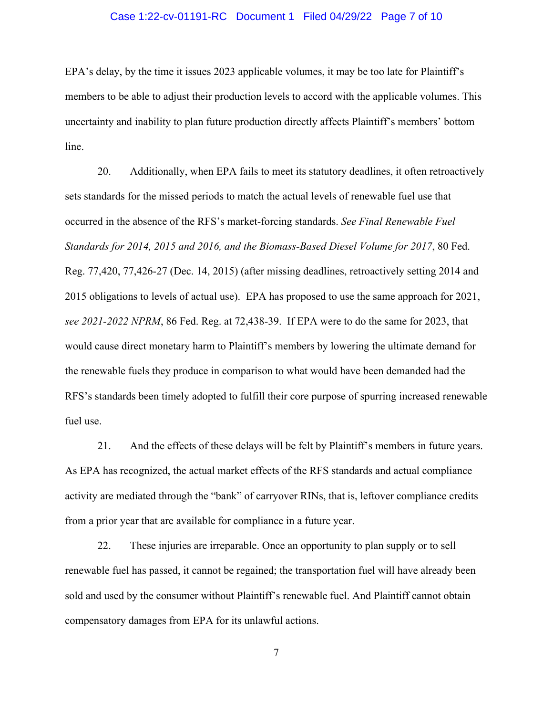## Case 1:22-cv-01191-RC Document 1 Filed 04/29/22 Page 7 of 10

EPA's delay, by the time it issues 2023 applicable volumes, it may be too late for Plaintiff's members to be able to adjust their production levels to accord with the applicable volumes. This uncertainty and inability to plan future production directly affects Plaintiff's members' bottom line.

20. Additionally, when EPA fails to meet its statutory deadlines, it often retroactively sets standards for the missed periods to match the actual levels of renewable fuel use that occurred in the absence of the RFS's market-forcing standards. *See Final Renewable Fuel Standards for 2014, 2015 and 2016, and the Biomass-Based Diesel Volume for 2017*, 80 Fed. Reg. 77,420, 77,426-27 (Dec. 14, 2015) (after missing deadlines, retroactively setting 2014 and 2015 obligations to levels of actual use). EPA has proposed to use the same approach for 2021, *see 2021-2022 NPRM*, 86 Fed. Reg. at 72,438-39. If EPA were to do the same for 2023, that would cause direct monetary harm to Plaintiff's members by lowering the ultimate demand for the renewable fuels they produce in comparison to what would have been demanded had the RFS's standards been timely adopted to fulfill their core purpose of spurring increased renewable fuel use.

21. And the effects of these delays will be felt by Plaintiff's members in future years. As EPA has recognized, the actual market effects of the RFS standards and actual compliance activity are mediated through the "bank" of carryover RINs, that is, leftover compliance credits from a prior year that are available for compliance in a future year.

22. These injuries are irreparable. Once an opportunity to plan supply or to sell renewable fuel has passed, it cannot be regained; the transportation fuel will have already been sold and used by the consumer without Plaintiff's renewable fuel. And Plaintiff cannot obtain compensatory damages from EPA for its unlawful actions.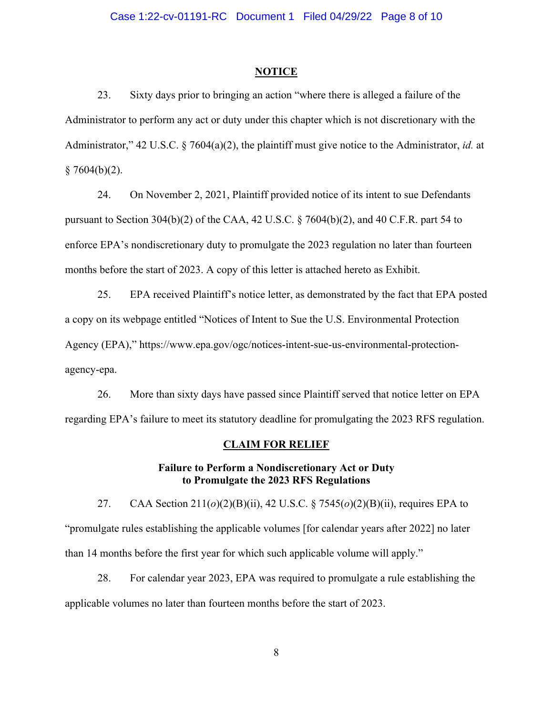#### **NOTICE**

23. Sixty days prior to bringing an action "where there is alleged a failure of the Administrator to perform any act or duty under this chapter which is not discretionary with the Administrator," 42 U.S.C. § 7604(a)(2), the plaintiff must give notice to the Administrator, *id.* at  $§ 7604(b)(2).$ 

24. On November 2, 2021, Plaintiff provided notice of its intent to sue Defendants pursuant to Section 304(b)(2) of the CAA, 42 U.S.C. § 7604(b)(2), and 40 C.F.R. part 54 to enforce EPA's nondiscretionary duty to promulgate the 2023 regulation no later than fourteen months before the start of 2023. A copy of this letter is attached hereto as Exhibit.

25. EPA received Plaintiff's notice letter, as demonstrated by the fact that EPA posted a copy on its webpage entitled "Notices of Intent to Sue the U.S. Environmental Protection Agency (EPA)," https://www.epa.gov/ogc/notices-intent-sue-us-environmental-protectionagency-epa.

26. More than sixty days have passed since Plaintiff served that notice letter on EPA regarding EPA's failure to meet its statutory deadline for promulgating the 2023 RFS regulation.

#### **CLAIM FOR RELIEF**

## **Failure to Perform a Nondiscretionary Act or Duty to Promulgate the 2023 RFS Regulations**

27. CAA Section 211(*o*)(2)(B)(ii), 42 U.S.C. § 7545(*o*)(2)(B)(ii), requires EPA to "promulgate rules establishing the applicable volumes [for calendar years after 2022] no later than 14 months before the first year for which such applicable volume will apply."

28. For calendar year 2023, EPA was required to promulgate a rule establishing the applicable volumes no later than fourteen months before the start of 2023.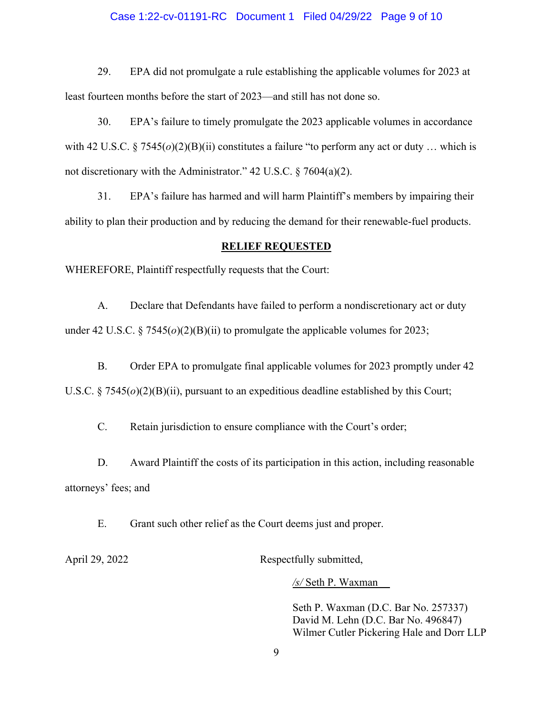## Case 1:22-cv-01191-RC Document 1 Filed 04/29/22 Page 9 of 10

29. EPA did not promulgate a rule establishing the applicable volumes for 2023 at least fourteen months before the start of 2023—and still has not done so.

30. EPA's failure to timely promulgate the 2023 applicable volumes in accordance with 42 U.S.C. § 7545(*o*)(2)(B)(ii) constitutes a failure "to perform any act or duty ... which is not discretionary with the Administrator." 42 U.S.C. § 7604(a)(2).

31. EPA's failure has harmed and will harm Plaintiff's members by impairing their ability to plan their production and by reducing the demand for their renewable-fuel products.

#### **RELIEF REQUESTED**

WHEREFORE, Plaintiff respectfully requests that the Court:

A. Declare that Defendants have failed to perform a nondiscretionary act or duty under 42 U.S.C. § 7545(*o*)(2)(B)(ii) to promulgate the applicable volumes for 2023;

B. Order EPA to promulgate final applicable volumes for 2023 promptly under 42 U.S.C.  $\S 7545(o)(2)(B)(ii)$ , pursuant to an expeditious deadline established by this Court;

C. Retain jurisdiction to ensure compliance with the Court's order;

D. Award Plaintiff the costs of its participation in this action, including reasonable attorneys' fees; and

E. Grant such other relief as the Court deems just and proper.

April 29, 2022 Respectfully submitted,

*/s/* Seth P. Waxman

Seth P. Waxman (D.C. Bar No. 257337) David M. Lehn (D.C. Bar No. 496847) Wilmer Cutler Pickering Hale and Dorr LLP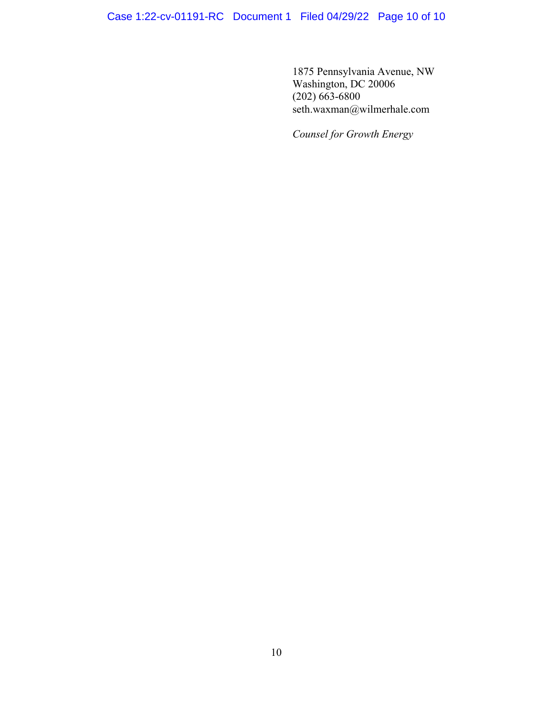1875 Pennsylvania Avenue, NW Washington, DC 20006 (202) 663-6800 seth.waxman@wilmerhale.com

*Counsel for Growth Energy*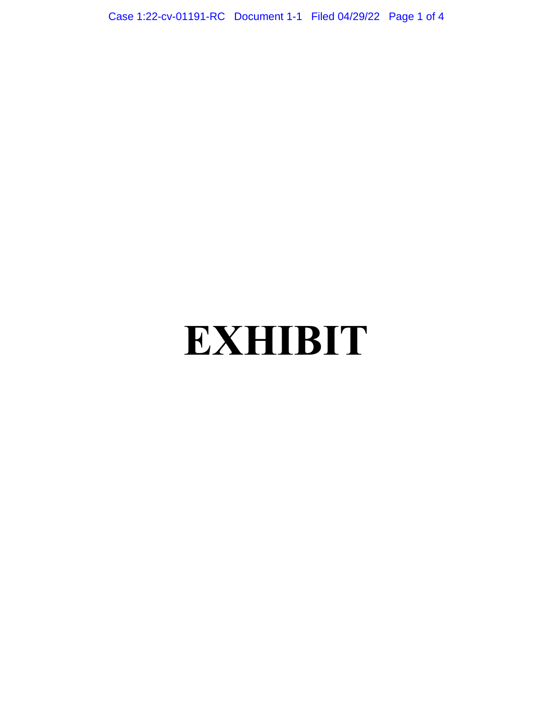Case 1:22-cv-01191-RC Document 1-1 Filed 04/29/22 Page 1 of 4

# **EXHIBIT**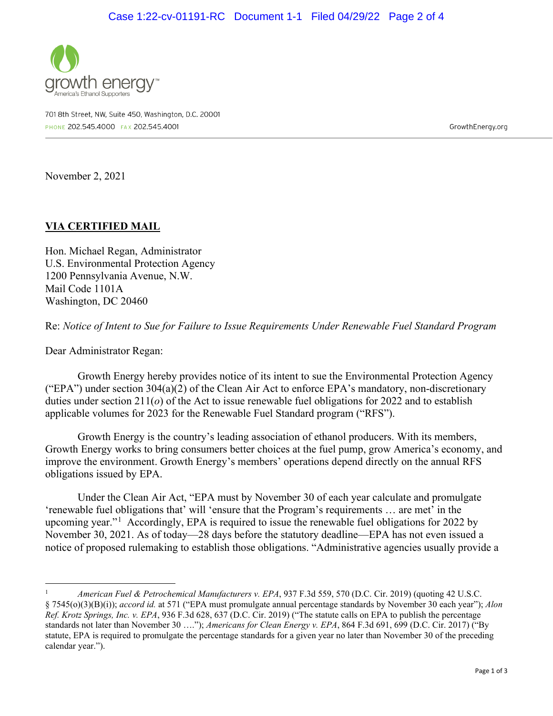

701 8th Street, NW, Suite 450, Washington, D.C. 20001 PHONE 202.545.4000 FAX 202.545.4001

GrowthEnergy.org

November 2, 2021

## **VIA CERTIFIED MAIL**

Hon. Michael Regan, Administrator U.S. Environmental Protection Agency 1200 Pennsylvania Avenue, N.W. Mail Code 1101A Washington, DC 20460

Re: *Notice of Intent to Sue for Failure to Issue Requirements Under Renewable Fuel Standard Program*

Dear Administrator Regan:

Growth Energy hereby provides notice of its intent to sue the Environmental Protection Agency ("EPA") under section 304(a)(2) of the Clean Air Act to enforce EPA's mandatory, non-discretionary duties under section 211(*o*) of the Act to issue renewable fuel obligations for 2022 and to establish applicable volumes for 2023 for the Renewable Fuel Standard program ("RFS").

Growth Energy is the country's leading association of ethanol producers. With its members, Growth Energy works to bring consumers better choices at the fuel pump, grow America's economy, and improve the environment. Growth Energy's members' operations depend directly on the annual RFS obligations issued by EPA.

Under the Clean Air Act, "EPA must by November 30 of each year calculate and promulgate 'renewable fuel obligations that' will 'ensure that the Program's requirements … are met' in the upcoming year."<sup>[1](#page-11-0)</sup> Accordingly, EPA is required to issue the renewable fuel obligations for 2022 by November 30, 2021. As of today—28 days before the statutory deadline—EPA has not even issued a notice of proposed rulemaking to establish those obligations. "Administrative agencies usually provide a

<span id="page-11-0"></span><sup>1</sup> *American Fuel & Petrochemical Manufacturers v. EPA*, 937 F.3d 559, 570 (D.C. Cir. 2019) (quoting 42 U.S.C. § 7545(o)(3)(B)(i)); *accord id.* at 571 ("EPA must promulgate annual percentage standards by November 30 each year"); *Alon Ref. Krotz Springs, Inc. v. EPA*, 936 F.3d 628, 637 (D.C. Cir. 2019) ("The statute calls on EPA to publish the percentage standards not later than November 30 …."); *Americans for Clean Energy v. EPA*, 864 F.3d 691, 699 (D.C. Cir. 2017) ("By statute, EPA is required to promulgate the percentage standards for a given year no later than November 30 of the preceding calendar year.").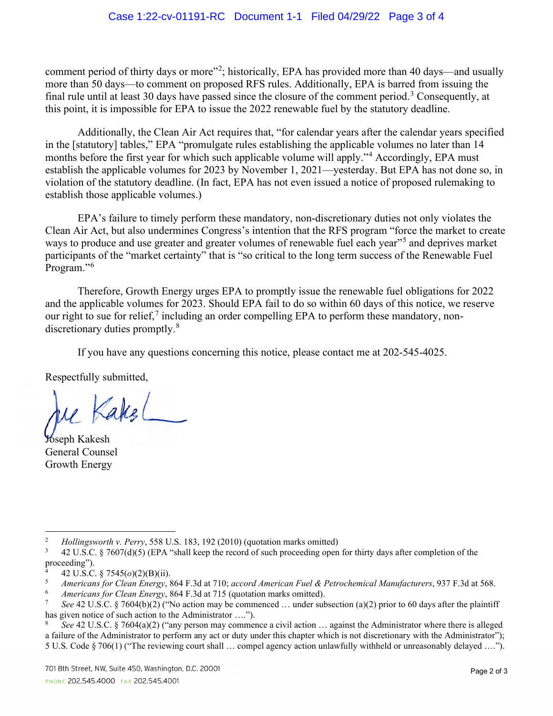comment period of thirty days or more"<sup>[2](#page-12-0)</sup>; historically, EPA has provided more than 40 days—and usually more than 50 days—to comment on proposed RFS rules. Additionally, EPA is barred from issuing the final rule until at least [3](#page-12-1)0 days have passed since the closure of the comment period.<sup>3</sup> Consequently, at this point, it is impossible for EPA to issue the 2022 renewable fuel by the statutory deadline.

Additionally, the Clean Air Act requires that, "for calendar years after the calendar years specified in the [statutory] tables," EPA "promulgate rules establishing the applicable volumes no later than 14 months before the first year for which such applicable volume will apply."<sup>[4](#page-12-2)</sup> Accordingly, EPA must establish the applicable volumes for 2023 by November 1, 2021—yesterday. But EPA has not done so, in violation of the statutory deadline. (In fact, EPA has not even issued a notice of proposed rulemaking to establish those applicable volumes.)

EPA's failure to timely perform these mandatory, non-discretionary duties not only violates the Clean Air Act, but also undermines Congress's intention that the RFS program "force the market to create ways to produce and use greater and greater volumes of renewable fuel each year"<sup>[5](#page-12-3)</sup> and deprives market participants of the "market certainty" that is "so critical to the long term success of the Renewable Fuel Program."<sup>[6](#page-12-4)</sup>

Therefore, Growth Energy urges EPA to promptly issue the renewable fuel obligations for 2022 and the applicable volumes for 2023. Should EPA fail to do so within 60 days of this notice, we reserve our right to sue for relief, $\frac{7}{7}$  $\frac{7}{7}$  $\frac{7}{7}$  including an order compelling EPA to perform these mandatory, non-discretionary duties promptly.<sup>[8](#page-12-6)</sup>

If you have any questions concerning this notice, please contact me at 202-545-4025.

Respectfully submitted,

Kakel

Joseph Kakesh General Counsel Growth Energy

<span id="page-12-0"></span><sup>&</sup>lt;sup>2</sup> *Hollingsworth v. Perry*, 558 U.S. 183, 192 (2010) (quotation marks omitted)<br><sup>3</sup> 42 U.S.C. 8 7607(d)(5) (FPA "shall keep the record of such proceeding open

<span id="page-12-1"></span><sup>3</sup> 42 U.S.C. § 7607(d)(5) (EPA "shall keep the record of such proceeding open for thirty days after completion of the proceeding").

<span id="page-12-3"></span><span id="page-12-2"></span><sup>4 42</sup> U.S.C. § 7545( $o$ )(2)(B)(ii).

<sup>5</sup> *Americans for Clean Energy*, 864 F.3d at 710; *accord American Fuel & Petrochemical Manufacturers*, 937 F.3d at 568. 6 *Americans for Clean Energy*, 864 F.3d at 715 (quotation marks omitted).

<span id="page-12-5"></span><span id="page-12-4"></span>See 42 U.S.C. § 7604(b)(2) ("No action may be commenced ... under subsection (a)(2) prior to 60 days after the plaintiff has given notice of such action to the Administrator ….").

<span id="page-12-6"></span><sup>8</sup> *See* 42 U.S.C. § 7604(a)(2) ("any person may commence a civil action … against the Administrator where there is alleged a failure of the Administrator to perform any act or duty under this chapter which is not discretionary with the Administrator"); 5 U.S. Code § 706(1) ("The reviewing court shall … compel agency action unlawfully withheld or unreasonably delayed ….").